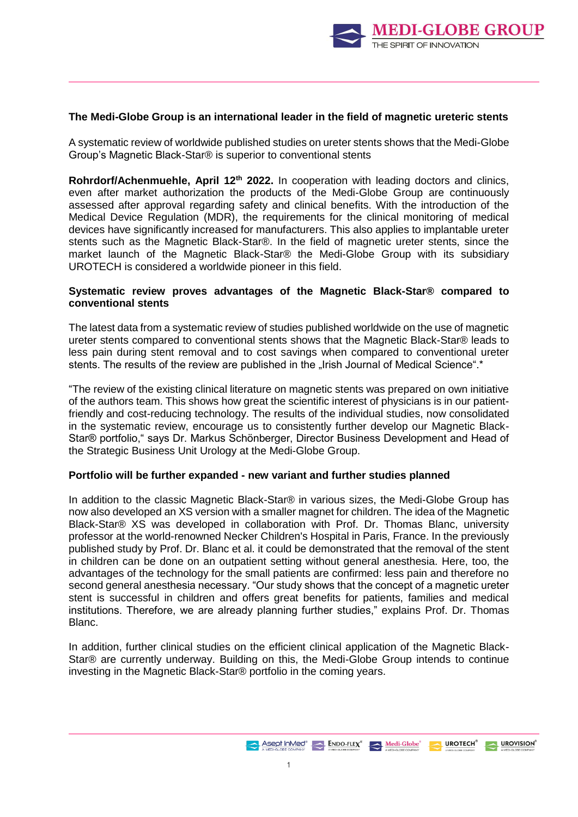

## **The Medi-Globe Group is an international leader in the field of magnetic ureteric stents**

A systematic review of worldwide published studies on ureter stents shows that the Medi-Globe Group's Magnetic Black-Star® is superior to conventional stents

**Rohrdorf/Achenmuehle, April 12th 2022.** In cooperation with leading doctors and clinics, even after market authorization the products of the Medi-Globe Group are continuously assessed after approval regarding safety and clinical benefits. With the introduction of the Medical Device Regulation (MDR), the requirements for the clinical monitoring of medical devices have significantly increased for manufacturers. This also applies to implantable ureter stents such as the Magnetic Black-Star®. In the field of magnetic ureter stents, since the market launch of the Magnetic Black-Star® the Medi-Globe Group with its subsidiary UROTECH is considered a worldwide pioneer in this field.

## **Systematic review proves advantages of the Magnetic Black-Star® compared to conventional stents**

The latest data from a systematic review of studies published worldwide on the use of magnetic ureter stents compared to conventional stents shows that the Magnetic Black-Star® leads to less pain during stent removal and to cost savings when compared to conventional ureter stents. The results of the review are published in the "Irish Journal of Medical Science".\*

"The review of the existing clinical literature on magnetic stents was prepared on own initiative of the authors team. This shows how great the scientific interest of physicians is in our patientfriendly and cost-reducing technology. The results of the individual studies, now consolidated in the systematic review, encourage us to consistently further develop our Magnetic Black-Star® portfolio," says Dr. Markus Schönberger, Director Business Development and Head of the Strategic Business Unit Urology at the Medi-Globe Group.

## **Portfolio will be further expanded - new variant and further studies planned**

In addition to the classic Magnetic Black-Star® in various sizes, the Medi-Globe Group has now also developed an XS version with a smaller magnet for children. The idea of the Magnetic Black-Star® XS was developed in collaboration with Prof. Dr. Thomas Blanc, university professor at the world-renowned Necker Children's Hospital in Paris, France. In the previously published study by Prof. Dr. Blanc et al. it could be demonstrated that the removal of the stent in children can be done on an outpatient setting without general anesthesia. Here, too, the advantages of the technology for the small patients are confirmed: less pain and therefore no second general anesthesia necessary. "Our study shows that the concept of a magnetic ureter stent is successful in children and offers great benefits for patients, families and medical institutions. Therefore, we are already planning further studies," explains Prof. Dr. Thomas Blanc.

In addition, further clinical studies on the efficient clinical application of the Magnetic Black-Star® are currently underway. Building on this, the Medi-Globe Group intends to continue investing in the Magnetic Black-Star® portfolio in the coming years.